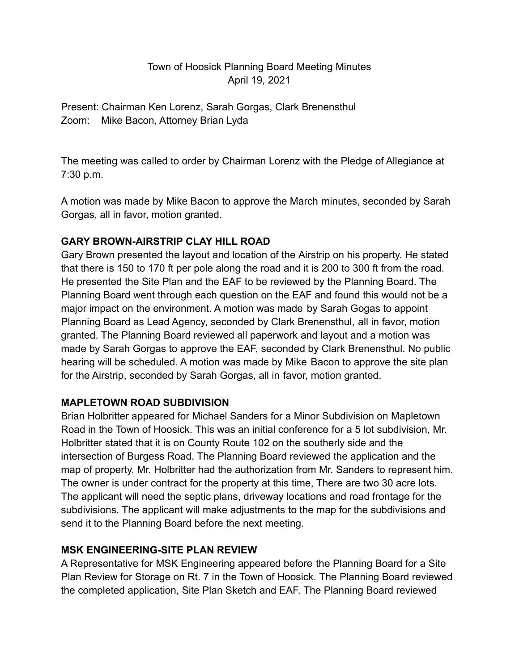# Town of Hoosick Planning Board Meeting Minutes April 19, 2021

Present: Chairman Ken Lorenz, Sarah Gorgas, Clark Brenensthul Zoom: Mike Bacon, Attorney Brian Lyda

The meeting was called to order by Chairman Lorenz with the Pledge of Allegiance at 7:30 p.m.

A motion was made by Mike Bacon to approve the March minutes, seconded by Sarah Gorgas, all in favor, motion granted.

# **GARY BROWN-AIRSTRIP CLAY HILL ROAD**

Gary Brown presented the layout and location of the Airstrip on his property. He stated that there is 150 to 170 ft per pole along the road and it is 200 to 300 ft from the road. He presented the Site Plan and the EAF to be reviewed by the Planning Board. The Planning Board went through each question on the EAF and found this would not be a major impact on the environment. A motion was made by Sarah Gogas to appoint Planning Board as Lead Agency, seconded by Clark Brenensthul, all in favor, motion granted. The Planning Board reviewed all paperwork and layout and a motion was made by Sarah Gorgas to approve the EAF, seconded by Clark Brenensthul. No public hearing will be scheduled. A motion was made by Mike Bacon to approve the site plan for the Airstrip, seconded by Sarah Gorgas, all in favor, motion granted.

# **MAPLETOWN ROAD SUBDIVISION**

Brian Holbritter appeared for Michael Sanders for a Minor Subdivision on Mapletown Road in the Town of Hoosick. This was an initial conference for a 5 lot subdivision, Mr. Holbritter stated that it is on County Route 102 on the southerly side and the intersection of Burgess Road. The Planning Board reviewed the application and the map of property. Mr. Holbritter had the authorization from Mr. Sanders to represent him. The owner is under contract for the property at this time, There are two 30 acre lots. The applicant will need the septic plans, driveway locations and road frontage for the subdivisions. The applicant will make adjustments to the map for the subdivisions and send it to the Planning Board before the next meeting.

# **MSK ENGINEERING-SITE PLAN REVIEW**

A Representative for MSK Engineering appeared before the Planning Board for a Site Plan Review for Storage on Rt. 7 in the Town of Hoosick. The Planning Board reviewed the completed application, Site Plan Sketch and EAF. The Planning Board reviewed